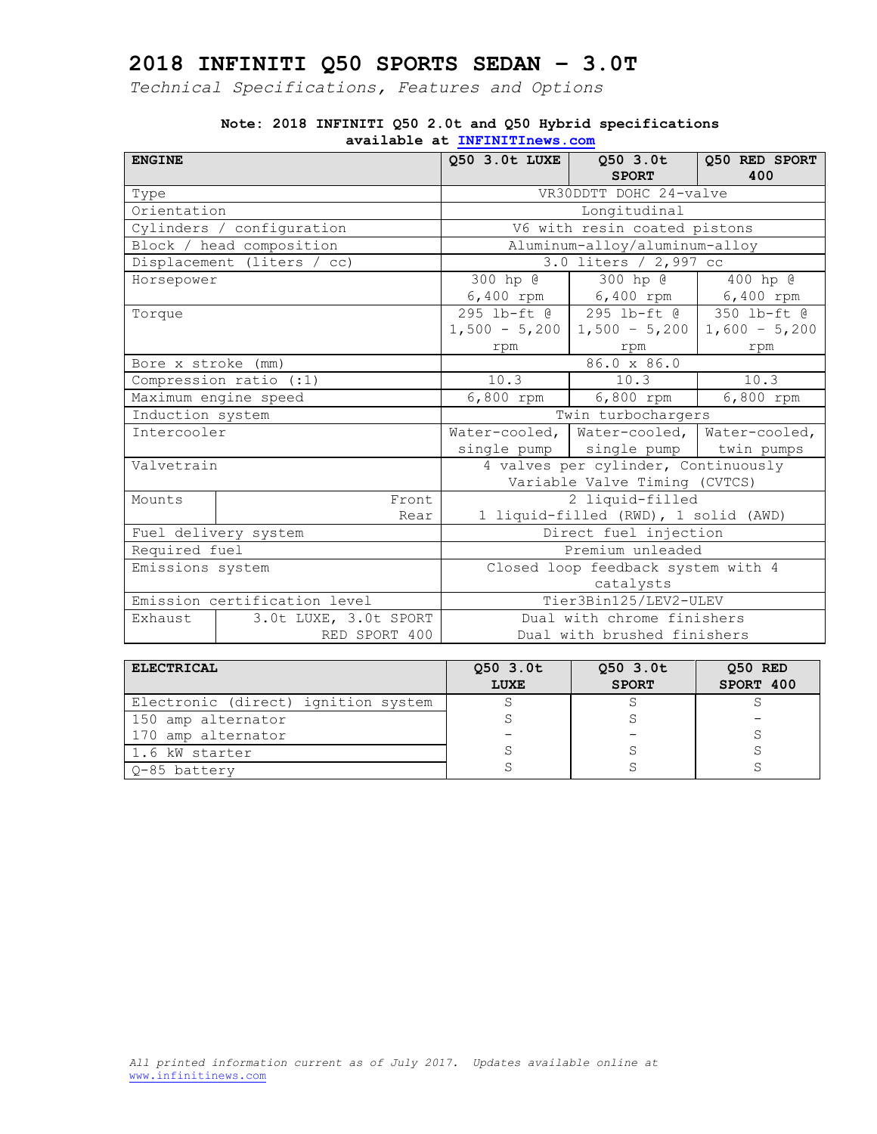*Technical Specifications, Features and Options*

| <b>ENGINE</b>                |                            | Q50 3.0t LUXE                        | Q50 3.0t                                        | Q50 RED SPORT |
|------------------------------|----------------------------|--------------------------------------|-------------------------------------------------|---------------|
|                              |                            |                                      | <b>SPORT</b>                                    | 400           |
| Type                         |                            |                                      | VR30DDTT DOHC 24-valve                          |               |
| Orientation                  |                            |                                      | Longitudinal                                    |               |
|                              | Cylinders / configuration  |                                      | V6 with resin coated pistons                    |               |
|                              | Block / head composition   |                                      | Aluminum-alloy/aluminum-alloy                   |               |
|                              | Displacement (liters / cc) |                                      | 3.0 liters / 2,997 cc                           |               |
| Horsepower                   |                            | 300 hp @                             | 300 hp @                                        | 400 hp @      |
|                              |                            |                                      | 6,400 rpm 6,400 rpm                             | 6,400 rpm     |
| Torque                       |                            |                                      | 295 lb-ft @   295 lb-ft @   350 lb-ft @         |               |
|                              |                            |                                      | $1,500 - 5,200$   1,500 - 5,200   1,600 - 5,200 |               |
|                              |                            | rpm                                  | rpm                                             | rpm           |
| Bore x stroke (mm)           |                            | 86.0 x 86.0                          |                                                 |               |
| Compression ratio (:1)       |                            | 10.3                                 | 10.3                                            | 10.3          |
|                              | Maximum engine speed       | 6,800 rpm                            | 6,800 rpm                                       | 6,800 rpm     |
| Induction system             |                            | Twin turbochargers                   |                                                 |               |
| Intercooler                  |                            |                                      | Water-cooled,   Water-cooled,   Water-cooled,   |               |
|                              |                            |                                      | single pump   single pump   twin pumps          |               |
| Valvetrain                   |                            | 4 valves per cylinder, Continuously  |                                                 |               |
|                              |                            | Variable Valve Timing (CVTCS)        |                                                 |               |
| Mounts                       | Front                      |                                      | 2 liquid-filled                                 |               |
|                              | Rear                       | 1 liquid-filled (RWD), 1 solid (AWD) |                                                 |               |
| Fuel delivery system         |                            | Direct fuel injection                |                                                 |               |
| Required fuel                |                            | Premium unleaded                     |                                                 |               |
| Emissions system             |                            |                                      | Closed loop feedback system with 4              |               |
|                              |                            | catalysts                            |                                                 |               |
| Emission certification level |                            | Tier3Bin125/LEV2-ULEV                |                                                 |               |
| Exhaust                      | 3.0t LUXE, 3.0t SPORT      |                                      | Dual with chrome finishers                      |               |
|                              | RED SPORT 400              |                                      | Dual with brushed finishers                     |               |

#### **Note: 2018 INFINITI Q50 2.0t and Q50 Hybrid specifications available at [INFINITInews.com](http://www.infinitinews.com/)**

| <b>ELECTRICAL</b>                   | $Q50$ 3.0t<br>LUXE | $Q50$ 3.0t<br><b>SPORT</b> | Q50 RED<br>SPORT 400 |
|-------------------------------------|--------------------|----------------------------|----------------------|
| Electronic (direct) ignition system |                    |                            |                      |
| 150 amp alternator                  |                    |                            |                      |
| 170 amp alternator                  |                    |                            |                      |
| 1.6 kW starter                      |                    |                            |                      |
| 0-85 battery                        |                    |                            |                      |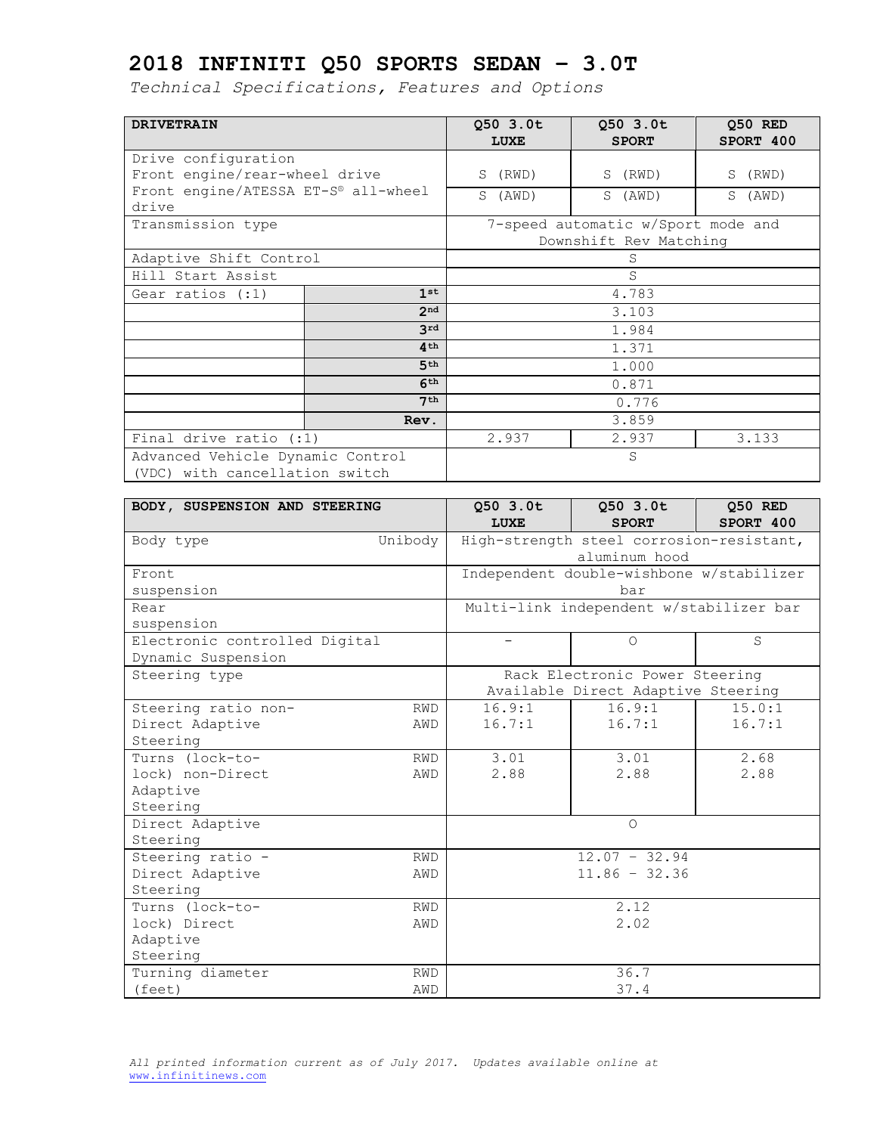*Technical Specifications, Features and Options*

| <b>DRIVETRAIN</b>                            |                 | 050 3.0t<br>LUXE | 050 3.0t<br><b>SPORT</b>           | 050 RED<br>SPORT 400 |
|----------------------------------------------|-----------------|------------------|------------------------------------|----------------------|
| Drive configuration                          |                 |                  |                                    |                      |
| Front engine/rear-wheel drive                |                 | (RWD)<br>S       | S (RWD)                            | S<br>(RWD)           |
| Front engine/ATESSA ET-S® all-wheel<br>drive |                 | S<br>(AWD)       | S (AWD)                            | S<br>(AWD)           |
| Transmission type                            |                 |                  | 7-speed automatic w/Sport mode and |                      |
|                                              |                 |                  | Downshift Rev Matching             |                      |
| Adaptive Shift Control                       |                 |                  | S                                  |                      |
| Hill Start Assist                            |                 | S                |                                    |                      |
| Gear ratios $(:1)$                           | 1st             |                  | 4.783                              |                      |
|                                              | 2 <sub>nd</sub> |                  | 3.103                              |                      |
|                                              | 3rd             | 1.984            |                                    |                      |
|                                              | 4 <sup>th</sup> | 1.371            |                                    |                      |
|                                              | 5 <sup>th</sup> | 1.000            |                                    |                      |
|                                              | 6 <sup>th</sup> | 0.871            |                                    |                      |
| 7 <sup>th</sup>                              |                 | 0.776            |                                    |                      |
|                                              | Rev.            | 3.859            |                                    |                      |
| Final drive ratio (:1)                       |                 | 2.937            | 2.937                              | 3.133                |
| Advanced Vehicle Dynamic Control             |                 |                  | S                                  |                      |
| (VDC) with cancellation switch               |                 |                  |                                    |                      |

| BODY, SUSPENSION AND STEERING |            | 050 3.0t          | Q50 3.0t                                 | Q50 RED   |
|-------------------------------|------------|-------------------|------------------------------------------|-----------|
|                               |            | <b>LUXE</b>       | <b>SPORT</b>                             | SPORT 400 |
| Body type                     | Unibody    |                   | High-strength steel corrosion-resistant, |           |
|                               |            |                   | aluminum hood                            |           |
| Front.                        |            |                   | Independent double-wishbone w/stabilizer |           |
| suspension                    |            |                   | bar                                      |           |
| Rear                          |            |                   | Multi-link independent w/stabilizer bar  |           |
| suspension                    |            |                   |                                          |           |
| Electronic controlled Digital |            | $\qquad \qquad -$ | $\bigcirc$                               | S         |
| Dynamic Suspension            |            |                   |                                          |           |
| Steering type                 |            |                   | Rack Electronic Power Steering           |           |
|                               |            |                   | Available Direct Adaptive Steering       |           |
| Steering ratio non-           | <b>RWD</b> | 16.9:1            | 16.9:1                                   | 15.0:1    |
| Direct Adaptive               | AWD        | 16.7:1            | 16.7:1                                   | 16.7:1    |
| Steering                      |            |                   |                                          |           |
| Turns (lock-to-               | <b>RWD</b> | 3.01              | 3.01                                     | 2.68      |
| lock) non-Direct              | AWD        | 2.88              | 2.88                                     | 2.88      |
| Adaptive                      |            |                   |                                          |           |
| Steering                      |            |                   |                                          |           |
| Direct Adaptive               |            |                   | $\bigcirc$                               |           |
| Steering                      |            |                   |                                          |           |
| Steering ratio -              | <b>RWD</b> |                   | $12.07 - 32.94$                          |           |
| Direct Adaptive               | AWD        |                   | $11.86 - 32.36$                          |           |
| Steering                      |            |                   |                                          |           |
| Turns (lock-to-               | <b>RWD</b> |                   | 2.12                                     |           |
| lock) Direct<br>AWD           |            |                   | 2.02                                     |           |
| Adaptive                      |            |                   |                                          |           |
| Steering                      |            |                   |                                          |           |
| Turning diameter              | <b>RWD</b> |                   | 36.7                                     |           |
| (feet)                        | AWD        |                   | 37.4                                     |           |

*All printed information current as of July 2017. Updates available online at*  [www.infinitinews.com](http://www.infinitinews.com/)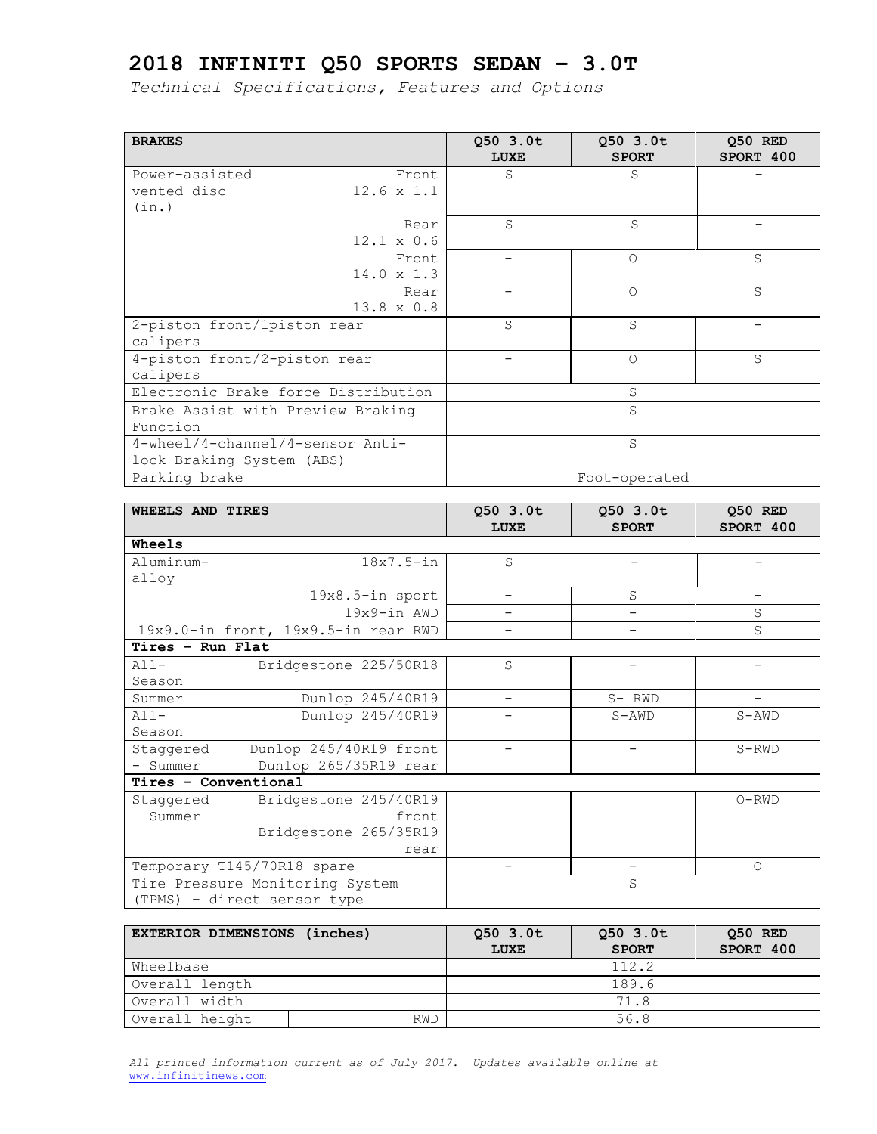*Technical Specifications, Features and Options*

| <b>BRAKES</b>                       |                   | Q50 3.0t    | Q50 3.0t      | 050 RED   |
|-------------------------------------|-------------------|-------------|---------------|-----------|
|                                     |                   | <b>LUXE</b> | <b>SPORT</b>  | SPORT 400 |
| Power-assisted                      | Front             | S           | S             |           |
| vented disc                         | $12.6 \times 1.1$ |             |               |           |
| (in.)                               |                   |             |               |           |
|                                     | Rear              | S           | S             |           |
|                                     | $12.1 \times 0.6$ |             |               |           |
|                                     | Front             |             | $\Omega$      | S         |
|                                     | $14.0 \times 1.3$ |             |               |           |
|                                     | Rear              |             | $\Omega$      | S         |
|                                     | $13.8 \times 0.8$ |             |               |           |
| 2-piston front/1piston rear         |                   | S           | S             |           |
| calipers                            |                   |             |               |           |
| 4-piston front/2-piston rear        |                   |             | $\Omega$      | S         |
| calipers                            |                   |             |               |           |
| Electronic Brake force Distribution |                   |             | S             |           |
| Brake Assist with Preview Braking   |                   |             | S             |           |
| Function                            |                   |             |               |           |
| 4-wheel/4-channel/4-sensor Anti-    |                   |             | S             |           |
| lock Braking System (ABS)           |                   |             |               |           |
| Parking brake                       |                   |             | Foot-operated |           |

| WHEELS AND TIRES                |                                     | Q50 3.0t    | 050 3.0t          | Q50 RED   |
|---------------------------------|-------------------------------------|-------------|-------------------|-----------|
|                                 |                                     | <b>LUXE</b> | <b>SPORT</b>      | SPORT 400 |
| <b>Wheels</b>                   |                                     |             |                   |           |
| Aluminum-                       | $18x7.5$ -in                        | S           |                   |           |
| alloy                           |                                     |             |                   |           |
|                                 | $19x8.5$ -in sport                  |             | S                 |           |
|                                 | $19x9$ -in AWD                      |             |                   | S         |
|                                 | 19x9.0-in front, 19x9.5-in rear RWD |             |                   | S         |
| Tires - Run Flat                |                                     |             |                   |           |
| $A11-$                          | Bridgestone 225/50R18               | S           |                   |           |
| Season                          |                                     |             |                   |           |
| Summer                          | Dunlop 245/40R19                    |             | $S-$ RWD          |           |
| $A11-$                          | Dunlop 245/40R19                    |             | $S-AND$           | $S-AND$   |
| Season                          |                                     |             |                   |           |
| Staggered                       | Dunlop 245/40R19 front              |             |                   | $S-RWD$   |
| - Summer                        | Dunlop 265/35R19 rear               |             |                   |           |
| Tires - Conventional            |                                     |             |                   |           |
| Staggered                       | Bridgestone 245/40R19               |             |                   | $O-RWD$   |
| - Summer                        | front                               |             |                   |           |
|                                 | Bridgestone 265/35R19               |             |                   |           |
|                                 | rear                                |             |                   |           |
| Temporary T145/70R18 spare      |                                     |             | $\qquad \qquad -$ | $\circ$   |
| Tire Pressure Monitoring System |                                     |             | S                 |           |
|                                 | (TPMS) - direct sensor type         |             |                   |           |

| EXTERIOR DIMENSIONS (inches) |  | 050 3.0t<br>LUXE | 050 3.0t<br><b>SPORT</b> | Q50 RED<br>SPORT 400 |
|------------------------------|--|------------------|--------------------------|----------------------|
| Wheelbase                    |  |                  | 112.2                    |                      |
| Overall length               |  |                  | 189.6                    |                      |
| Overall width                |  |                  | 71.8                     |                      |
| Overall height<br>RWD        |  | 56.8             |                          |                      |

*All printed information current as of July 2017. Updates available online at*  [www.infinitinews.com](http://www.infinitinews.com/)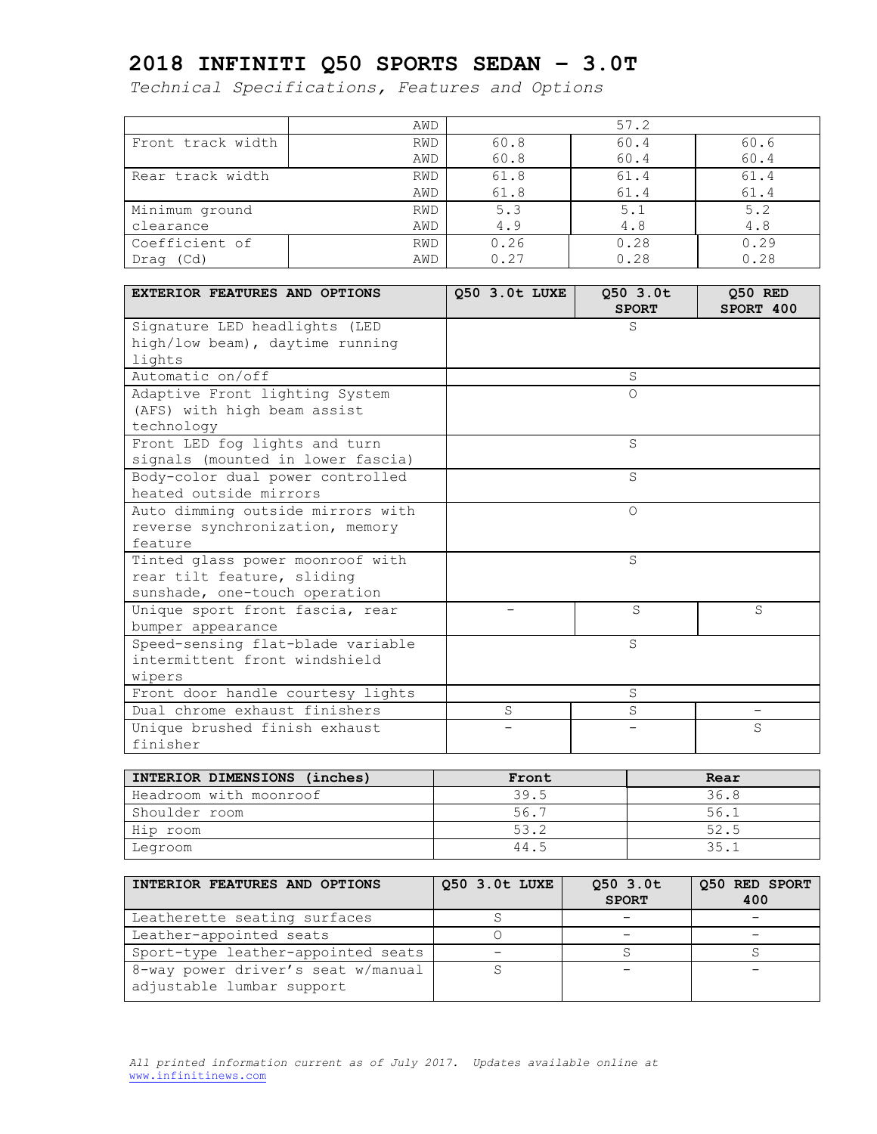|                   | AWD        |      | 57.2 |      |
|-------------------|------------|------|------|------|
| Front track width | RWD        | 60.8 | 60.4 | 60.6 |
|                   | AWD        | 60.8 | 60.4 | 60.4 |
| Rear track width  | <b>RWD</b> | 61.8 | 61.4 | 61.4 |
|                   | AWD        | 61.8 | 61.4 | 61.4 |
| Minimum ground    | <b>RWD</b> | 5.3  | 5.1  | 5.2  |
| clearance         | AWD        | 4.9  | 4.8  | 4.8  |
| Coefficient of    | RWD        | 0.26 | 0.28 | 0.29 |
| (Cd)<br>Drag      | AWD        | 0.27 | 0.28 | 0.28 |

| <b>EXTERIOR FEATURES AND OPTIONS</b> | 050 3.0t LUXE | 050 3.0t<br><b>SPORT</b> | 050 RED<br>SPORT 400 |
|--------------------------------------|---------------|--------------------------|----------------------|
| Signature LED headlights (LED        |               | S                        |                      |
| high/low beam), daytime running      |               |                          |                      |
| lights                               |               |                          |                      |
| Automatic on/off                     |               | S                        |                      |
| Adaptive Front lighting System       |               | $\Omega$                 |                      |
| (AFS) with high beam assist          |               |                          |                      |
| technology                           |               |                          |                      |
| Front LED fog lights and turn        |               | S                        |                      |
| signals (mounted in lower fascia)    |               |                          |                      |
| Body-color dual power controlled     |               | S                        |                      |
| heated outside mirrors               |               |                          |                      |
| Auto dimming outside mirrors with    |               | $\Omega$                 |                      |
| reverse synchronization, memory      |               |                          |                      |
| feature                              |               |                          |                      |
| Tinted glass power moonroof with     |               | S                        |                      |
| rear tilt feature, sliding           |               |                          |                      |
| sunshade, one-touch operation        |               |                          |                      |
| Unique sport front fascia, rear      |               | S                        | S                    |
| bumper appearance                    |               |                          |                      |
| Speed-sensing flat-blade variable    |               | S                        |                      |
| intermittent front windshield        |               |                          |                      |
| wipers                               |               |                          |                      |
| Front door handle courtesy lights    |               | S                        |                      |
| Dual chrome exhaust finishers        | S             | S                        |                      |
| Unique brushed finish exhaust        |               |                          | S                    |
| finisher                             |               |                          |                      |

| INTERIOR DIMENSIONS (inches) | Front | Rear |
|------------------------------|-------|------|
| Headroom with moonroof       | 39.5  | 36.8 |
| Shoulder room                | 56.7  | 56.1 |
| Hip room                     | 53.2  | 52.5 |
| Legroom                      | 44.5  | 35.1 |

| INTERIOR FEATURES AND OPTIONS                                   | Q50 3.0t LUXE | $Q50$ 3.0t<br><b>SPORT</b> | Q50 RED SPORT<br>400 |
|-----------------------------------------------------------------|---------------|----------------------------|----------------------|
| Leatherette seating surfaces                                    |               |                            |                      |
| Leather-appointed seats                                         |               |                            |                      |
| Sport-type leather-appointed seats                              |               |                            |                      |
| 8-way power driver's seat w/manual<br>adjustable lumbar support |               |                            |                      |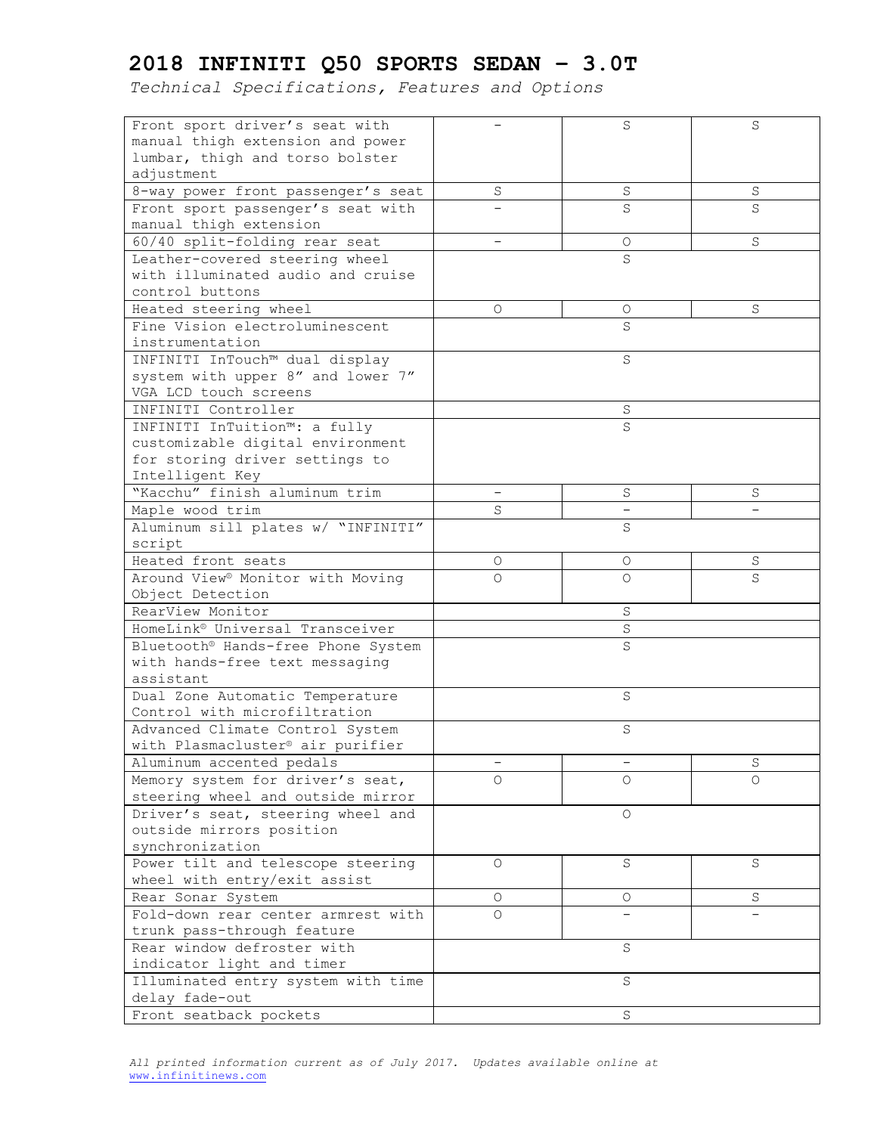| Front sport driver's seat with               |          | S        | S        |
|----------------------------------------------|----------|----------|----------|
| manual thigh extension and power             |          |          |          |
| lumbar, thigh and torso bolster              |          |          |          |
| adjustment                                   |          |          |          |
| 8-way power front passenger's seat           | $\rm S$  | S        | $\rm S$  |
| Front sport passenger's seat with            |          | S        | S        |
| manual thigh extension                       |          |          |          |
| 60/40 split-folding rear seat                |          | О        | S        |
| Leather-covered steering wheel               |          | S        |          |
| with illuminated audio and cruise            |          |          |          |
| control buttons                              |          |          |          |
| Heated steering wheel                        | 0        | О        | S        |
| Fine Vision electroluminescent               |          | S        |          |
| instrumentation                              |          |          |          |
| INFINITI InTouch™ dual display               |          | S        |          |
| system with upper 8" and lower 7"            |          |          |          |
| VGA LCD touch screens                        |          |          |          |
| INFINITI Controller                          |          | S        |          |
| INFINITI InTuition™: a fully                 |          | S        |          |
| customizable digital environment             |          |          |          |
| for storing driver settings to               |          |          |          |
| Intelligent Key                              |          |          |          |
| "Kacchu" finish aluminum trim                |          |          |          |
|                                              |          | S        | S        |
| Maple wood trim                              | S        |          |          |
| Aluminum sill plates w/ "INFINITI"           |          | S        |          |
| script                                       |          |          |          |
| Heated front seats                           | 0        | 0        | S        |
| Around View <sup>®</sup> Monitor with Moving | $\Omega$ | 0        | S        |
| Object Detection                             |          |          |          |
| RearView Monitor                             |          | S        |          |
| HomeLink® Universal Transceiver              |          | $\rm S$  |          |
| Bluetooth® Hands-free Phone System           |          | S        |          |
| with hands-free text messaging               |          |          |          |
| assistant                                    |          |          |          |
| Dual Zone Automatic Temperature              |          | S        |          |
| Control with microfiltration                 |          |          |          |
| Advanced Climate Control System              |          | $\rm S$  |          |
| with Plasmacluster® air purifier             |          |          |          |
| Aluminum accented pedals                     |          |          | $\rm S$  |
| Memory system for driver's seat,             | $\Omega$ | $\Omega$ | $\Omega$ |
| steering wheel and outside mirror            |          |          |          |
| Driver's seat, steering wheel and            |          | $\circ$  |          |
| outside mirrors position                     |          |          |          |
| synchronization                              |          |          |          |
| Power tilt and telescope steering            | O        | S        | S        |
| wheel with entry/exit assist                 |          |          |          |
| Rear Sonar System                            | O        | 0        | S        |
| Fold-down rear center armrest with           | $\Omega$ |          |          |
| trunk pass-through feature                   |          |          |          |
| Rear window defroster with                   |          | $\rm S$  |          |
| indicator light and timer                    |          |          |          |
|                                              |          | S        |          |
| Illuminated entry system with time           |          |          |          |
| delay fade-out                               |          |          |          |
| Front seatback pockets                       |          | $\rm S$  |          |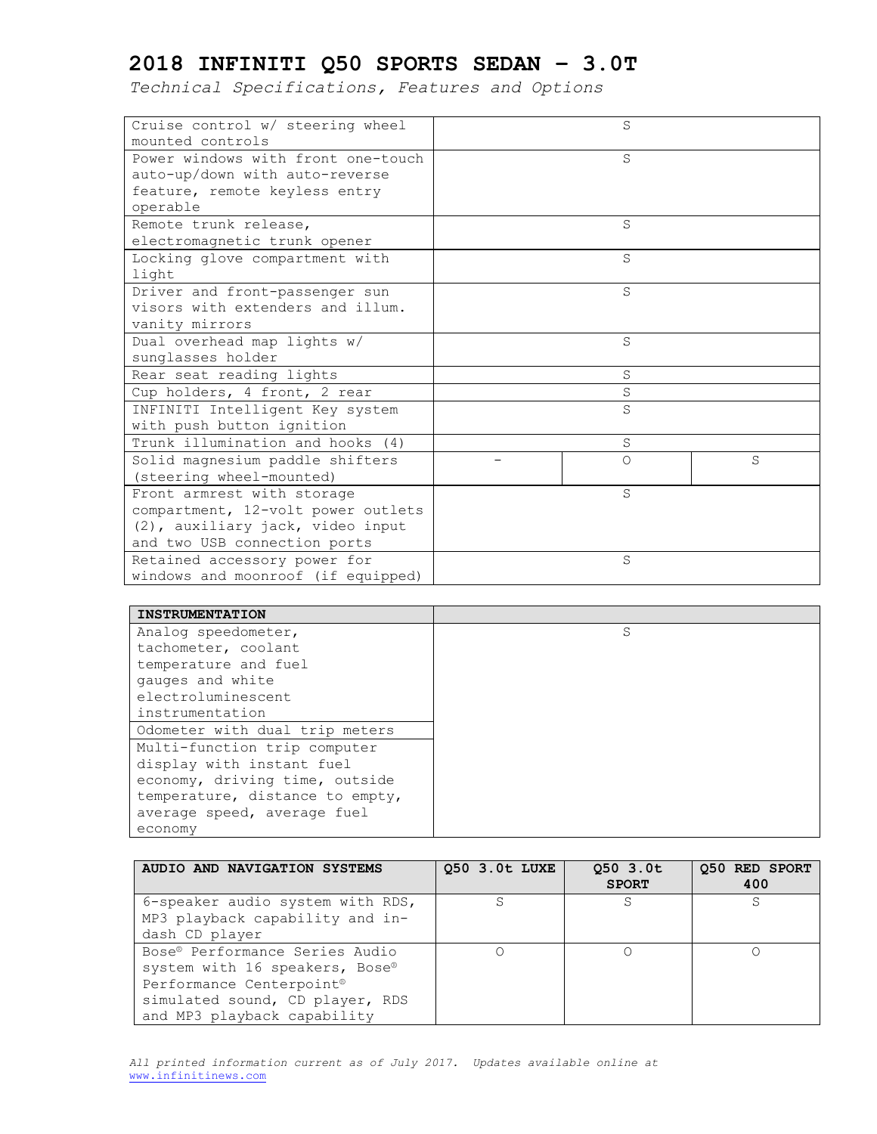| Cruise control w/ steering wheel   | S        |   |
|------------------------------------|----------|---|
| mounted controls                   |          |   |
| Power windows with front one-touch | S        |   |
| auto-up/down with auto-reverse     |          |   |
| feature, remote keyless entry      |          |   |
| operable                           |          |   |
| Remote trunk release,              | S        |   |
| electromagnetic trunk opener       |          |   |
| Locking glove compartment with     | S        |   |
| light                              |          |   |
| Driver and front-passenger sun     | S        |   |
| visors with extenders and illum.   |          |   |
| vanity mirrors                     |          |   |
| Dual overhead map lights w/        | S        |   |
| sunglasses holder                  |          |   |
| Rear seat reading lights           | S        |   |
| Cup holders, 4 front, 2 rear       | S        |   |
| INFINITI Intelligent Key system    | S        |   |
| with push button ignition          |          |   |
| Trunk illumination and hooks (4)   | S        |   |
| Solid magnesium paddle shifters    | $\Omega$ | S |
| (steering wheel-mounted)           |          |   |
| Front armrest with storage         | S        |   |
| compartment, 12-volt power outlets |          |   |
| (2), auxiliary jack, video input   |          |   |
| and two USB connection ports       |          |   |
| Retained accessory power for       | S        |   |
| windows and moonroof (if equipped) |          |   |

| <b>INSTRUMENTATION</b>          |   |
|---------------------------------|---|
| Analog speedometer,             | S |
| tachometer, coolant             |   |
| temperature and fuel            |   |
| gauges and white                |   |
| electroluminescent              |   |
| instrumentation                 |   |
| Odometer with dual trip meters  |   |
| Multi-function trip computer    |   |
| display with instant fuel       |   |
| economy, driving time, outside  |   |
| temperature, distance to empty, |   |
| average speed, average fuel     |   |
| economy                         |   |

| AUDIO AND NAVIGATION SYSTEMS     | 050 3.0t LUXE | 050 3.0t<br><b>SPORT</b> | 050 RED SPORT<br>400 |
|----------------------------------|---------------|--------------------------|----------------------|
| 6-speaker audio system with RDS, | S             | S                        |                      |
| MP3 playback capability and in-  |               |                          |                      |
| dash CD player                   |               |                          |                      |
| Bose® Performance Series Audio   |               |                          |                      |
| system with 16 speakers, Bose®   |               |                          |                      |
| Performance Centerpoint®         |               |                          |                      |
| simulated sound, CD player, RDS  |               |                          |                      |
| and MP3 playback capability      |               |                          |                      |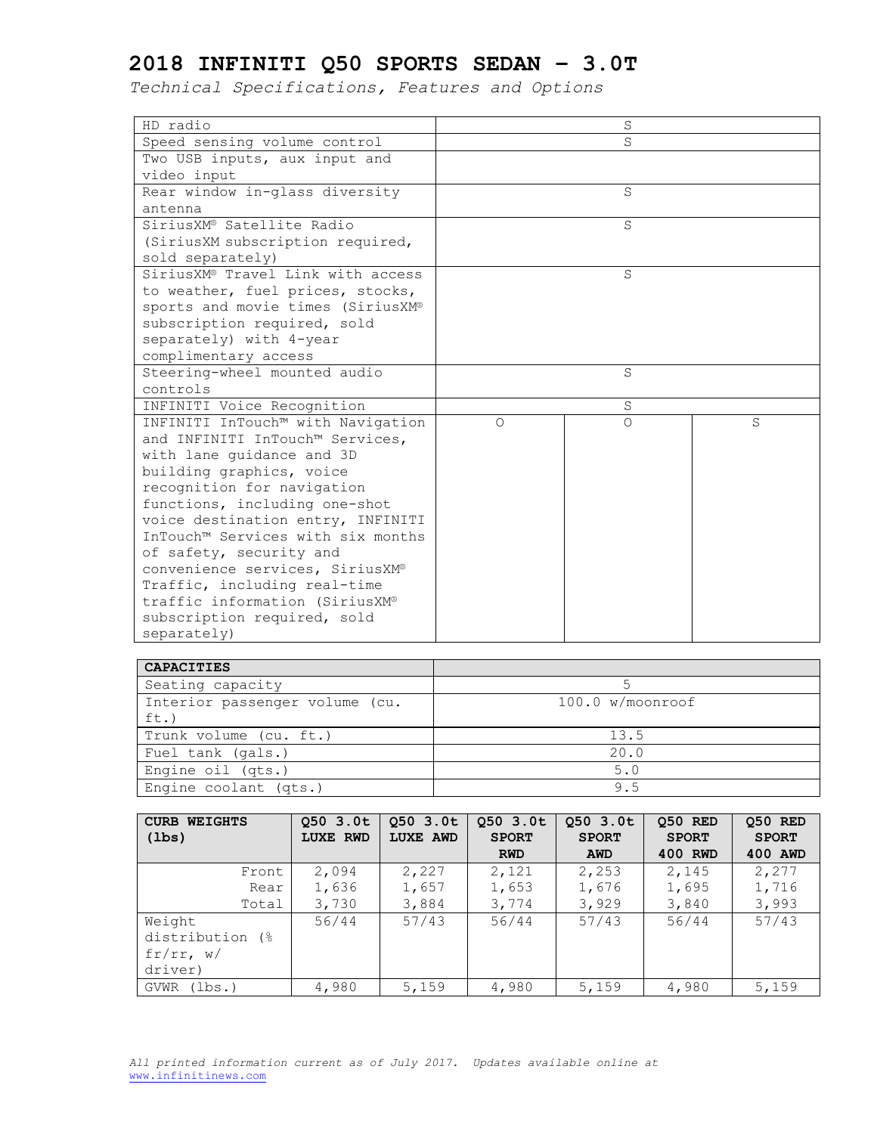| HD radio                          |          | S        |   |  |
|-----------------------------------|----------|----------|---|--|
| Speed sensing volume control      | S        |          |   |  |
| Two USB inputs, aux input and     |          |          |   |  |
| video input                       |          |          |   |  |
| Rear window in-glass diversity    |          | S        |   |  |
| antenna                           |          |          |   |  |
| SiriusXM® Satellite Radio         |          | S        |   |  |
| (SiriusXM subscription required,  |          |          |   |  |
| sold separately)                  |          |          |   |  |
| SiriusXM® Travel Link with access |          | S        |   |  |
| to weather, fuel prices, stocks,  |          |          |   |  |
| sports and movie times (SiriusXM® |          |          |   |  |
| subscription required, sold       |          |          |   |  |
| separately) with 4-year           |          |          |   |  |
| complimentary access              |          |          |   |  |
| Steering-wheel mounted audio      | S        |          |   |  |
| controls                          |          |          |   |  |
| INFINITI Voice Recognition        |          | S        |   |  |
| INFINITI InTouch™ with Navigation | $\Omega$ | $\Omega$ | S |  |
| and INFINITI InTouch™ Services,   |          |          |   |  |
| with lane quidance and 3D         |          |          |   |  |
| building graphics, voice          |          |          |   |  |
| recognition for navigation        |          |          |   |  |
| functions, including one-shot     |          |          |   |  |
| voice destination entry, INFINITI |          |          |   |  |
| InTouch™ Services with six months |          |          |   |  |
| of safety, security and           |          |          |   |  |
| convenience services, SiriusXM®   |          |          |   |  |
| Traffic, including real-time      |          |          |   |  |
| traffic information (SiriusXM®    |          |          |   |  |
| subscription required, sold       |          |          |   |  |
| separately)                       |          |          |   |  |

| <b>CAPACITIES</b>              |                  |
|--------------------------------|------------------|
| Seating capacity               |                  |
| Interior passenger volume (cu. | 100.0 w/moonroof |
| ft.)                           |                  |
| Trunk volume (cu. ft.)         | 13.5             |
| Fuel tank (gals.)              | 20.0             |
| Engine oil (qts.)              | 5.0              |
| Engine coolant (qts.)          | 9.5              |

| <b>CURB WEIGHTS</b> | 050 3.0t        | $Q50$ 3.0t | 050 3.0t     | 050 3.0t     | 050 RED      | Q50 RED      |
|---------------------|-----------------|------------|--------------|--------------|--------------|--------------|
| $(\text{lbs})$      | <b>LUXE RWD</b> | LUXE AWD   | <b>SPORT</b> | <b>SPORT</b> | <b>SPORT</b> | <b>SPORT</b> |
|                     |                 |            | <b>RWD</b>   | <b>AWD</b>   | 400 RWD      | 400 AWD      |
| Front               | 2,094           | 2,227      | 2,121        | 2,253        | 2,145        | 2,277        |
| Rear                | 1,636           | 1,657      | 1,653        | 1,676        | 1,695        | 1,716        |
| Total               | 3,730           | 3,884      | 3,774        | 3,929        | 3,840        | 3,993        |
| Weight              | 56/44           | 57/43      | 56/44        | 57/43        | 56/44        | 57/43        |
| distribution (%)    |                 |            |              |              |              |              |
| fr/rr, w/           |                 |            |              |              |              |              |
| driver)             |                 |            |              |              |              |              |
| (lbs.)<br>GVWR      | 4,980           | 5,159      | 4,980        | 5,159        | 4,980        | 5,159        |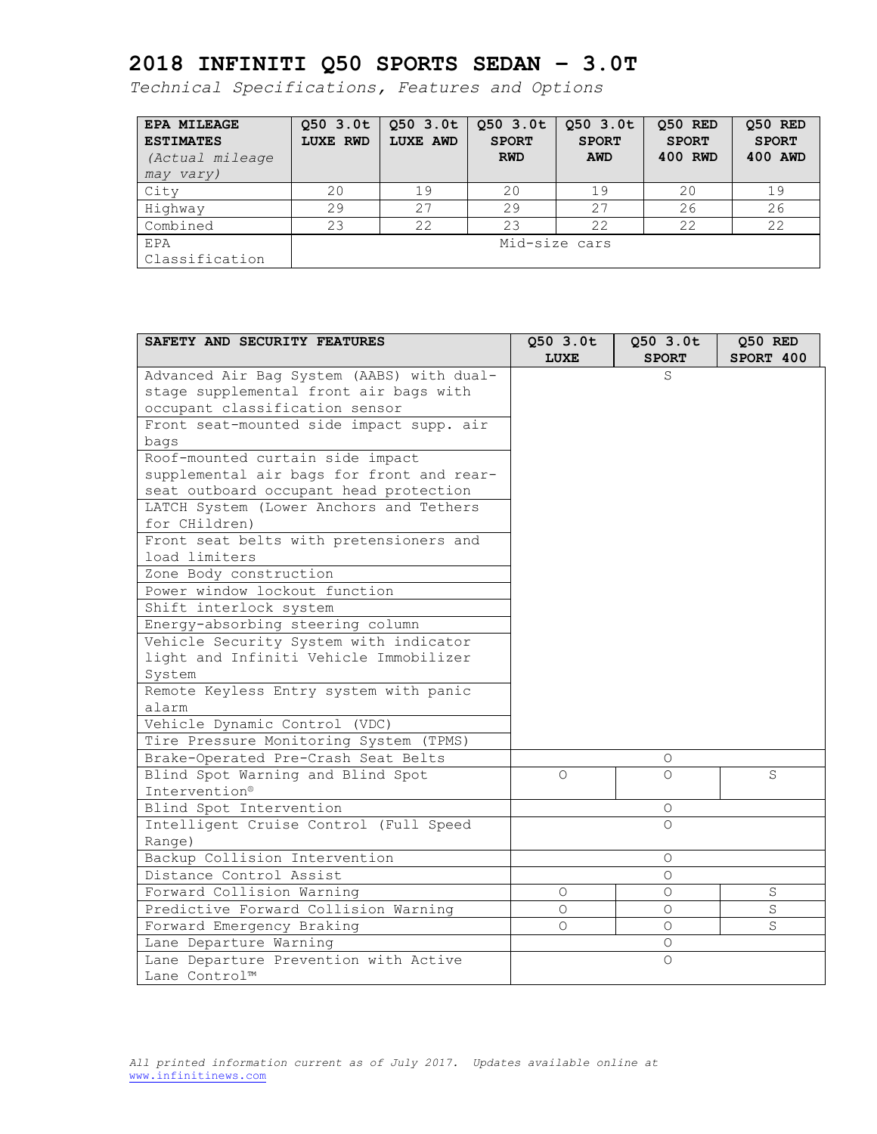| <b>EPA MILEAGE</b><br><b>ESTIMATES</b><br>(Actual mileage)<br>may vary) | 050 3.0t<br><b>LUXE RWD</b> | 050 3.0t<br><b>LUXE AWD</b> | 050 3.0t<br><b>SPORT</b><br><b>RWD</b> | 050 3.0t<br><b>SPORT</b><br><b>AWD</b> | 050 RED<br><b>SPORT</b><br>400 RWD | Q50 RED<br><b>SPORT</b><br>400 AWD |
|-------------------------------------------------------------------------|-----------------------------|-----------------------------|----------------------------------------|----------------------------------------|------------------------------------|------------------------------------|
| City                                                                    | 20                          | 19                          | 20                                     | 19                                     | 20                                 | 19                                 |
| Highway                                                                 | 29                          | 27                          | 29                                     | 27                                     | 26                                 | 26                                 |
| Combined                                                                | 23                          | 22                          | 23                                     | 22                                     | 22                                 | 22                                 |
| EPA<br>Classification                                                   |                             |                             | Mid-size cars                          |                                        |                                    |                                    |

| SAFETY AND SECURITY FEATURES              | Q50 3.0t<br><b>LUXE</b> | $Q50$ 3.0t<br><b>SPORT</b> | $Q50$ RED<br>SPORT 400 |
|-------------------------------------------|-------------------------|----------------------------|------------------------|
| Advanced Air Bag System (AABS) with dual- |                         | S                          |                        |
| stage supplemental front air bags with    |                         |                            |                        |
| occupant classification sensor            |                         |                            |                        |
| Front seat-mounted side impact supp. air  |                         |                            |                        |
| bags                                      |                         |                            |                        |
| Roof-mounted curtain side impact          |                         |                            |                        |
| supplemental air bags for front and rear- |                         |                            |                        |
| seat outboard occupant head protection    |                         |                            |                        |
| LATCH System (Lower Anchors and Tethers   |                         |                            |                        |
| for CHildren)                             |                         |                            |                        |
| Front seat belts with pretensioners and   |                         |                            |                        |
| load limiters                             |                         |                            |                        |
| Zone Body construction                    |                         |                            |                        |
| Power window lockout function             |                         |                            |                        |
| Shift interlock system                    |                         |                            |                        |
| Energy-absorbing steering column          |                         |                            |                        |
| Vehicle Security System with indicator    |                         |                            |                        |
| light and Infiniti Vehicle Immobilizer    |                         |                            |                        |
| System                                    |                         |                            |                        |
| Remote Keyless Entry system with panic    |                         |                            |                        |
| alarm                                     |                         |                            |                        |
| Vehicle Dynamic Control (VDC)             |                         |                            |                        |
| Tire Pressure Monitoring System (TPMS)    |                         |                            |                        |
| Brake-Operated Pre-Crash Seat Belts       |                         | $\circ$                    |                        |
| Blind Spot Warning and Blind Spot         | $\bigcirc$              | $\bigcirc$                 | S                      |
| Intervention®                             |                         |                            |                        |
| Blind Spot Intervention                   |                         | $\circ$                    |                        |
| Intelligent Cruise Control (Full Speed    |                         | $\Omega$                   |                        |
| Range)                                    |                         |                            |                        |
| Backup Collision Intervention             |                         | $\Omega$                   |                        |
| Distance Control Assist                   |                         | $\circ$                    |                        |
| Forward Collision Warning                 | $\bigcirc$              | $\Omega$                   | S                      |
| Predictive Forward Collision Warning      | $\circ$                 | $\Omega$                   | S                      |
| Forward Emergency Braking                 | $\Omega$                | $\Omega$                   | S                      |
| Lane Departure Warning                    |                         | O                          |                        |
| Lane Departure Prevention with Active     |                         | $\circ$                    |                        |
| Lane Control™                             |                         |                            |                        |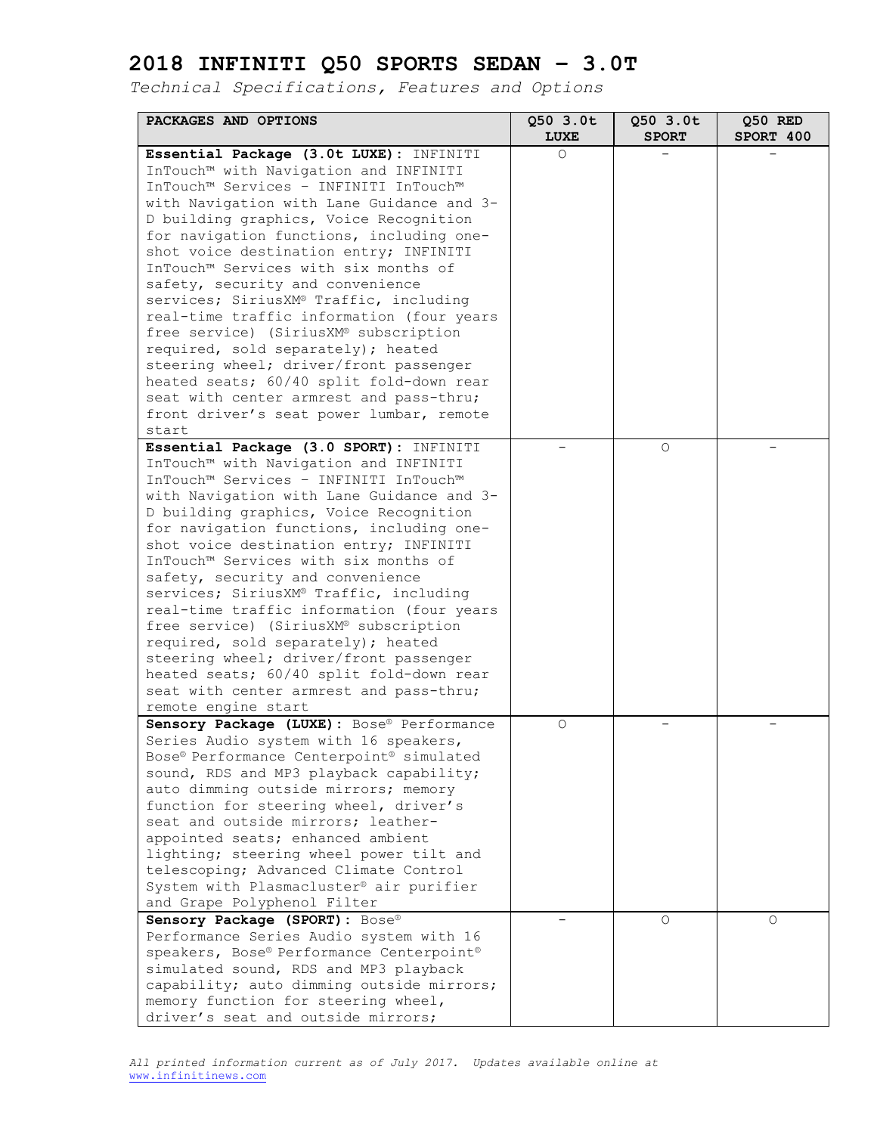| PACKAGES AND OPTIONS                                          | Q50 3.0t            | Q50 3.0t     | Q50 RED   |
|---------------------------------------------------------------|---------------------|--------------|-----------|
|                                                               | <b>LUXE</b>         | <b>SPORT</b> | SPORT 400 |
| Essential Package (3.0t LUXE): INFINITI                       | 0                   |              |           |
| InTouch™ with Navigation and INFINITI                         |                     |              |           |
| InTouch™ Services - INFINITI InTouch™                         |                     |              |           |
| with Navigation with Lane Guidance and 3-                     |                     |              |           |
| D building graphics, Voice Recognition                        |                     |              |           |
| for navigation functions, including one-                      |                     |              |           |
| shot voice destination entry; INFINITI                        |                     |              |           |
| InTouch™ Services with six months of                          |                     |              |           |
| safety, security and convenience                              |                     |              |           |
| services; SiriusXM® Traffic, including                        |                     |              |           |
| real-time traffic information (four years                     |                     |              |           |
| free service) (SiriusXM® subscription                         |                     |              |           |
| required, sold separately); heated                            |                     |              |           |
| steering wheel; driver/front passenger                        |                     |              |           |
| heated seats; 60/40 split fold-down rear                      |                     |              |           |
| seat with center armrest and pass-thru;                       |                     |              |           |
| front driver's seat power lumbar, remote                      |                     |              |           |
| start                                                         |                     |              |           |
| Essential Package (3.0 SPORT): INFINITI                       |                     | 0            |           |
| InTouch™ with Navigation and INFINITI                         |                     |              |           |
| InTouch™ Services - INFINITI InTouch™                         |                     |              |           |
| with Navigation with Lane Guidance and 3-                     |                     |              |           |
| D building graphics, Voice Recognition                        |                     |              |           |
| for navigation functions, including one-                      |                     |              |           |
| shot voice destination entry; INFINITI                        |                     |              |           |
| InTouch™ Services with six months of                          |                     |              |           |
| safety, security and convenience                              |                     |              |           |
| services; SiriusXM® Traffic, including                        |                     |              |           |
| real-time traffic information (four years                     |                     |              |           |
| free service) (SiriusXM® subscription                         |                     |              |           |
| required, sold separately); heated                            |                     |              |           |
| steering wheel; driver/front passenger                        |                     |              |           |
| heated seats; 60/40 split fold-down rear                      |                     |              |           |
| seat with center armrest and pass-thru;                       |                     |              |           |
| remote engine start                                           |                     |              |           |
| Sensory Package (LUXE) : Bose® Performance                    | $\circlearrowright$ |              |           |
| Series Audio system with 16 speakers,                         |                     |              |           |
| Bose® Performance Centerpoint® simulated                      |                     |              |           |
| sound, RDS and MP3 playback capability;                       |                     |              |           |
| auto dimming outside mirrors; memory                          |                     |              |           |
| function for steering wheel, driver's                         |                     |              |           |
| seat and outside mirrors; leather-                            |                     |              |           |
| appointed seats; enhanced ambient                             |                     |              |           |
| lighting; steering wheel power tilt and                       |                     |              |           |
| telescoping; Advanced Climate Control                         |                     |              |           |
| System with Plasmacluster® air purifier                       |                     |              |           |
| and Grape Polyphenol Filter<br>Sensory Package (SPORT): Bose® |                     | $\Omega$     |           |
| Performance Series Audio system with 16                       |                     |              | $\Omega$  |
| speakers, Bose® Performance Centerpoint®                      |                     |              |           |
| simulated sound, RDS and MP3 playback                         |                     |              |           |
| capability; auto dimming outside mirrors;                     |                     |              |           |
| memory function for steering wheel,                           |                     |              |           |
| driver's seat and outside mirrors;                            |                     |              |           |